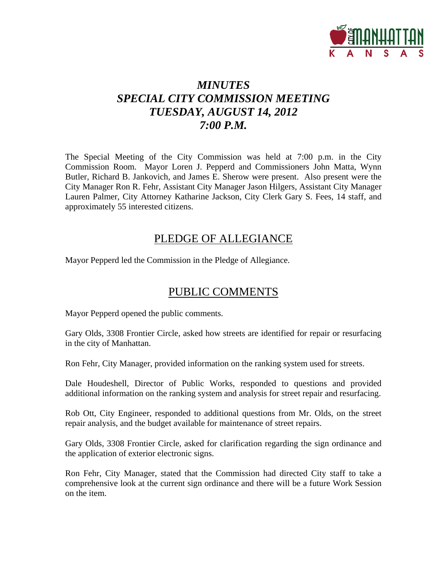

### *MINUTES SPECIAL CITY COMMISSION MEETING TUESDAY, AUGUST 14, 2012 7:00 P.M.*

The Special Meeting of the City Commission was held at 7:00 p.m. in the City Commission Room. Mayor Loren J. Pepperd and Commissioners John Matta, Wynn Butler, Richard B. Jankovich, and James E. Sherow were present. Also present were the City Manager Ron R. Fehr, Assistant City Manager Jason Hilgers, Assistant City Manager Lauren Palmer, City Attorney Katharine Jackson, City Clerk Gary S. Fees, 14 staff, and approximately 55 interested citizens.

### PLEDGE OF ALLEGIANCE

Mayor Pepperd led the Commission in the Pledge of Allegiance.

### PUBLIC COMMENTS

Mayor Pepperd opened the public comments.

Gary Olds, 3308 Frontier Circle, asked how streets are identified for repair or resurfacing in the city of Manhattan.

Ron Fehr, City Manager, provided information on the ranking system used for streets.

Dale Houdeshell, Director of Public Works, responded to questions and provided additional information on the ranking system and analysis for street repair and resurfacing.

Rob Ott, City Engineer, responded to additional questions from Mr. Olds, on the street repair analysis, and the budget available for maintenance of street repairs.

Gary Olds, 3308 Frontier Circle, asked for clarification regarding the sign ordinance and the application of exterior electronic signs.

Ron Fehr, City Manager, stated that the Commission had directed City staff to take a comprehensive look at the current sign ordinance and there will be a future Work Session on the item.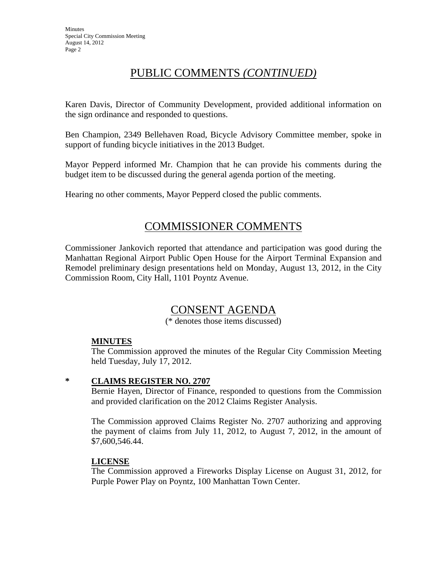# PUBLIC COMMENTS *(CONTINUED)*

Karen Davis, Director of Community Development, provided additional information on the sign ordinance and responded to questions.

Ben Champion, 2349 Bellehaven Road, Bicycle Advisory Committee member, spoke in support of funding bicycle initiatives in the 2013 Budget.

Mayor Pepperd informed Mr. Champion that he can provide his comments during the budget item to be discussed during the general agenda portion of the meeting.

Hearing no other comments, Mayor Pepperd closed the public comments.

### COMMISSIONER COMMENTS

Commissioner Jankovich reported that attendance and participation was good during the Manhattan Regional Airport Public Open House for the Airport Terminal Expansion and Remodel preliminary design presentations held on Monday, August 13, 2012, in the City Commission Room, City Hall, 1101 Poyntz Avenue.

# CONSENT AGENDA

(\* denotes those items discussed)

#### **MINUTES**

The Commission approved the minutes of the Regular City Commission Meeting held Tuesday, July 17, 2012.

#### **\* CLAIMS REGISTER NO. 2707**

Bernie Hayen, Director of Finance, responded to questions from the Commission and provided clarification on the 2012 Claims Register Analysis.

The Commission approved Claims Register No. 2707 authorizing and approving the payment of claims from July 11, 2012, to August 7, 2012, in the amount of \$7,600,546.44.

#### **LICENSE**

The Commission approved a Fireworks Display License on August 31, 2012, for Purple Power Play on Poyntz, 100 Manhattan Town Center.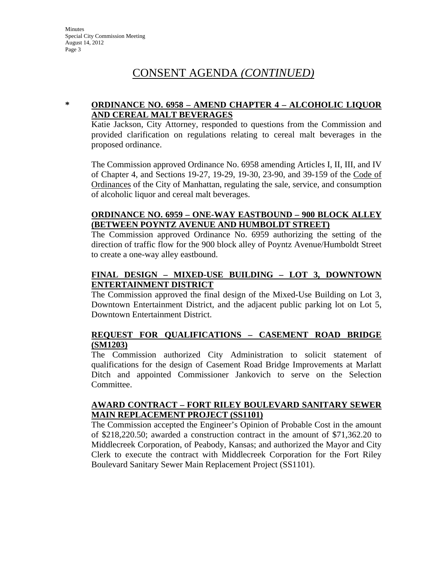### CONSENT AGENDA *(CONTINUED)*

#### **\* ORDINANCE NO. 6958 – AMEND CHAPTER 4 – ALCOHOLIC LIQUOR AND CEREAL MALT BEVERAGES**

Katie Jackson, City Attorney, responded to questions from the Commission and provided clarification on regulations relating to cereal malt beverages in the proposed ordinance.

The Commission approved Ordinance No. 6958 amending Articles I, II, III, and IV of Chapter 4, and Sections 19-27, 19-29, 19-30, 23-90, and 39-159 of the Code of Ordinances of the City of Manhattan, regulating the sale, service, and consumption of alcoholic liquor and cereal malt beverages.

### **ORDINANCE NO. 6959 – ONE-WAY EASTBOUND – 900 BLOCK ALLEY (BETWEEN POYNTZ AVENUE AND HUMBOLDT STREET)**

The Commission approved Ordinance No. 6959 authorizing the setting of the direction of traffic flow for the 900 block alley of Poyntz Avenue/Humboldt Street to create a one-way alley eastbound.

### **FINAL DESIGN – MIXED-USE BUILDING – LOT 3, DOWNTOWN ENTERTAINMENT DISTRICT**

The Commission approved the final design of the Mixed-Use Building on Lot 3, Downtown Entertainment District, and the adjacent public parking lot on Lot 5, Downtown Entertainment District.

#### **REQUEST FOR QUALIFICATIONS – CASEMENT ROAD BRIDGE (SM1203)**

The Commission authorized City Administration to solicit statement of qualifications for the design of Casement Road Bridge Improvements at Marlatt Ditch and appointed Commissioner Jankovich to serve on the Selection Committee.

#### **AWARD CONTRACT – FORT RILEY BOULEVARD SANITARY SEWER MAIN REPLACEMENT PROJECT (SS1101)**

The Commission accepted the Engineer's Opinion of Probable Cost in the amount of \$218,220.50; awarded a construction contract in the amount of \$71,362.20 to Middlecreek Corporation, of Peabody, Kansas; and authorized the Mayor and City Clerk to execute the contract with Middlecreek Corporation for the Fort Riley Boulevard Sanitary Sewer Main Replacement Project (SS1101).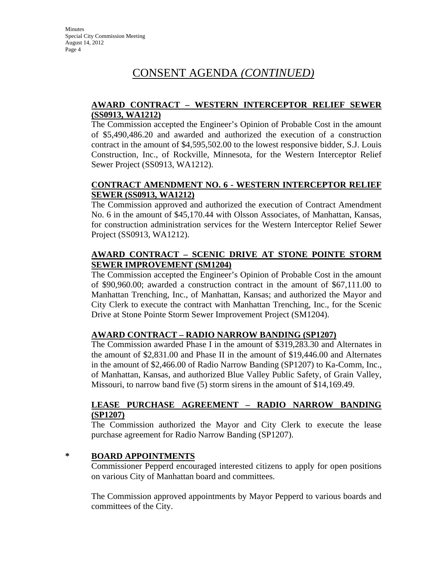# CONSENT AGENDA *(CONTINUED)*

#### **AWARD CONTRACT – WESTERN INTERCEPTOR RELIEF SEWER (SS0913, WA1212)**

The Commission accepted the Engineer's Opinion of Probable Cost in the amount of \$5,490,486.20 and awarded and authorized the execution of a construction contract in the amount of \$4,595,502.00 to the lowest responsive bidder, S.J. Louis Construction, Inc., of Rockville, Minnesota, for the Western Interceptor Relief Sewer Project (SS0913, WA1212).

#### **CONTRACT AMENDMENT NO. 6 - WESTERN INTERCEPTOR RELIEF SEWER (SS0913, WA1212)**

The Commission approved and authorized the execution of Contract Amendment No. 6 in the amount of \$45,170.44 with Olsson Associates, of Manhattan, Kansas, for construction administration services for the Western Interceptor Relief Sewer Project (SS0913, WA1212).

### **AWARD CONTRACT – SCENIC DRIVE AT STONE POINTE STORM SEWER IMPROVEMENT (SM1204)**

The Commission accepted the Engineer's Opinion of Probable Cost in the amount of \$90,960.00; awarded a construction contract in the amount of \$67,111.00 to Manhattan Trenching, Inc., of Manhattan, Kansas; and authorized the Mayor and City Clerk to execute the contract with Manhattan Trenching, Inc., for the Scenic Drive at Stone Pointe Storm Sewer Improvement Project (SM1204).

### **AWARD CONTRACT – RADIO NARROW BANDING (SP1207)**

The Commission awarded Phase I in the amount of \$319,283.30 and Alternates in the amount of \$2,831.00 and Phase II in the amount of \$19,446.00 and Alternates in the amount of \$2,466.00 of Radio Narrow Banding (SP1207) to Ka-Comm, Inc., of Manhattan, Kansas, and authorized Blue Valley Public Safety, of Grain Valley, Missouri, to narrow band five (5) storm sirens in the amount of \$14,169.49.

#### **LEASE PURCHASE AGREEMENT – RADIO NARROW BANDING (SP1207)**

The Commission authorized the Mayor and City Clerk to execute the lease purchase agreement for Radio Narrow Banding (SP1207).

#### **\* BOARD APPOINTMENTS**

Commissioner Pepperd encouraged interested citizens to apply for open positions on various City of Manhattan board and committees.

The Commission approved appointments by Mayor Pepperd to various boards and committees of the City.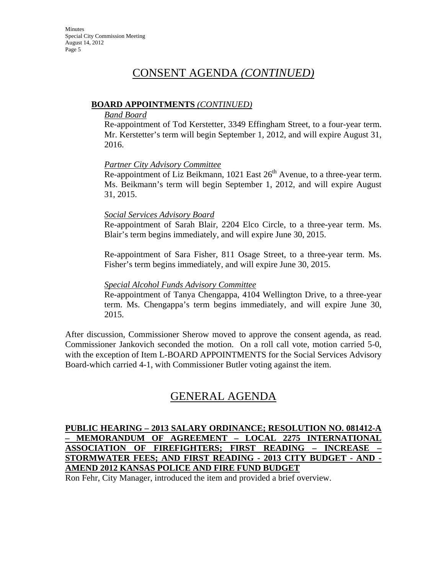### CONSENT AGENDA *(CONTINUED)*

#### **BOARD APPOINTMENTS** *(CONTINUED)*

#### *Band Board*

Re-appointment of Tod Kerstetter, 3349 Effingham Street, to a four-year term. Mr. Kerstetter's term will begin September 1, 2012, and will expire August 31, 2016.

#### *Partner City Advisory Committee*

Re-appointment of Liz Beikmann, 1021 East  $26<sup>th</sup>$  Avenue, to a three-year term. Ms. Beikmann's term will begin September 1, 2012, and will expire August 31, 2015.

#### *Social Services Advisory Board*

Re-appointment of Sarah Blair, 2204 Elco Circle, to a three-year term. Ms. Blair's term begins immediately, and will expire June 30, 2015.

Re-appointment of Sara Fisher, 811 Osage Street, to a three-year term. Ms. Fisher's term begins immediately, and will expire June 30, 2015.

#### *Special Alcohol Funds Advisory Committee*

Re-appointment of Tanya Chengappa, 4104 Wellington Drive, to a three-year term. Ms. Chengappa's term begins immediately, and will expire June 30, 2015.

After discussion, Commissioner Sherow moved to approve the consent agenda, as read. Commissioner Jankovich seconded the motion. On a roll call vote, motion carried 5-0, with the exception of Item L-BOARD APPOINTMENTS for the Social Services Advisory Board-which carried 4-1, with Commissioner Butler voting against the item.

### GENERAL AGENDA

#### **PUBLIC HEARING – 2013 SALARY ORDINANCE; RESOLUTION NO. 081412-A – MEMORANDUM OF AGREEMENT – LOCAL 2275 INTERNATIONAL ASSOCIATION OF FIREFIGHTERS; FIRST READING – INCREASE – STORMWATER FEES; AND FIRST READING - 2013 CITY BUDGET - AND - AMEND 2012 KANSAS POLICE AND FIRE FUND BUDGET**

Ron Fehr, City Manager, introduced the item and provided a brief overview.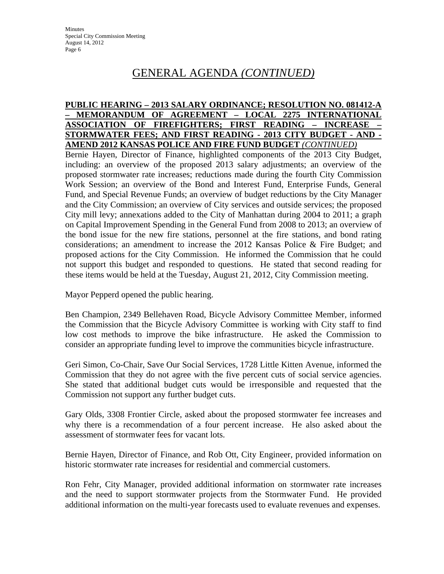#### **PUBLIC HEARING – 2013 SALARY ORDINANCE; RESOLUTION NO. 081412-A – MEMORANDUM OF AGREEMENT – LOCAL 2275 INTERNATIONAL ASSOCIATION OF FIREFIGHTERS; FIRST READING – INCREASE – STORMWATER FEES; AND FIRST READING - 2013 CITY BUDGET - AND - AMEND 2012 KANSAS POLICE AND FIRE FUND BUDGET** *(CONTINUED)*

Bernie Hayen, Director of Finance, highlighted components of the 2013 City Budget, including: an overview of the proposed 2013 salary adjustments; an overview of the proposed stormwater rate increases; reductions made during the fourth City Commission Work Session; an overview of the Bond and Interest Fund, Enterprise Funds, General Fund, and Special Revenue Funds; an overview of budget reductions by the City Manager and the City Commission; an overview of City services and outside services; the proposed City mill levy; annexations added to the City of Manhattan during 2004 to 2011; a graph on Capital Improvement Spending in the General Fund from 2008 to 2013; an overview of the bond issue for the new fire stations, personnel at the fire stations, and bond rating considerations; an amendment to increase the 2012 Kansas Police & Fire Budget; and proposed actions for the City Commission. He informed the Commission that he could not support this budget and responded to questions. He stated that second reading for these items would be held at the Tuesday, August 21, 2012, City Commission meeting.

Mayor Pepperd opened the public hearing.

Ben Champion, 2349 Bellehaven Road, Bicycle Advisory Committee Member, informed the Commission that the Bicycle Advisory Committee is working with City staff to find low cost methods to improve the bike infrastructure. He asked the Commission to consider an appropriate funding level to improve the communities bicycle infrastructure.

Geri Simon, Co-Chair, Save Our Social Services, 1728 Little Kitten Avenue, informed the Commission that they do not agree with the five percent cuts of social service agencies. She stated that additional budget cuts would be irresponsible and requested that the Commission not support any further budget cuts.

Gary Olds, 3308 Frontier Circle, asked about the proposed stormwater fee increases and why there is a recommendation of a four percent increase. He also asked about the assessment of stormwater fees for vacant lots.

Bernie Hayen, Director of Finance, and Rob Ott, City Engineer, provided information on historic stormwater rate increases for residential and commercial customers.

Ron Fehr, City Manager, provided additional information on stormwater rate increases and the need to support stormwater projects from the Stormwater Fund. He provided additional information on the multi-year forecasts used to evaluate revenues and expenses.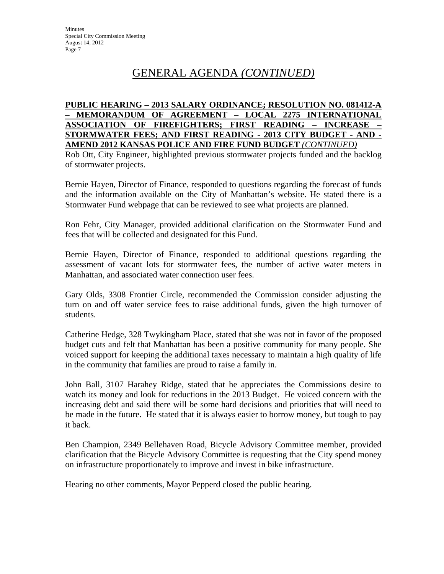#### **PUBLIC HEARING – 2013 SALARY ORDINANCE; RESOLUTION NO. 081412-A – MEMORANDUM OF AGREEMENT – LOCAL 2275 INTERNATIONAL ASSOCIATION OF FIREFIGHTERS; FIRST READING – INCREASE – STORMWATER FEES; AND FIRST READING - 2013 CITY BUDGET - AND - AMEND 2012 KANSAS POLICE AND FIRE FUND BUDGET** *(CONTINUED)*

Rob Ott, City Engineer, highlighted previous stormwater projects funded and the backlog of stormwater projects.

Bernie Hayen, Director of Finance, responded to questions regarding the forecast of funds and the information available on the City of Manhattan's website. He stated there is a Stormwater Fund webpage that can be reviewed to see what projects are planned.

Ron Fehr, City Manager, provided additional clarification on the Stormwater Fund and fees that will be collected and designated for this Fund.

Bernie Hayen, Director of Finance, responded to additional questions regarding the assessment of vacant lots for stormwater fees, the number of active water meters in Manhattan, and associated water connection user fees.

Gary Olds, 3308 Frontier Circle, recommended the Commission consider adjusting the turn on and off water service fees to raise additional funds, given the high turnover of students.

Catherine Hedge, 328 Twykingham Place, stated that she was not in favor of the proposed budget cuts and felt that Manhattan has been a positive community for many people. She voiced support for keeping the additional taxes necessary to maintain a high quality of life in the community that families are proud to raise a family in.

John Ball, 3107 Harahey Ridge, stated that he appreciates the Commissions desire to watch its money and look for reductions in the 2013 Budget. He voiced concern with the increasing debt and said there will be some hard decisions and priorities that will need to be made in the future. He stated that it is always easier to borrow money, but tough to pay it back.

Ben Champion, 2349 Bellehaven Road, Bicycle Advisory Committee member, provided clarification that the Bicycle Advisory Committee is requesting that the City spend money on infrastructure proportionately to improve and invest in bike infrastructure.

Hearing no other comments, Mayor Pepperd closed the public hearing.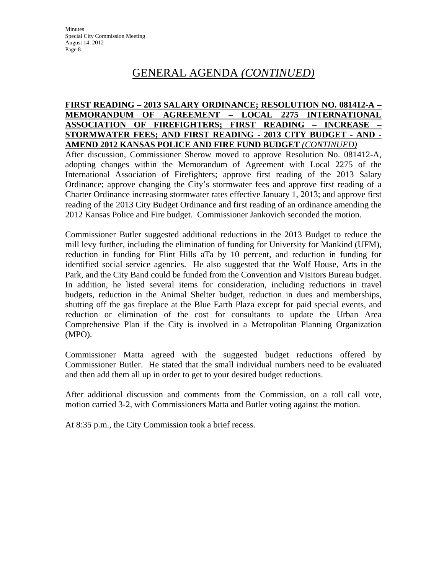#### **FIRST READING – 2013 SALARY ORDINANCE; RESOLUTION NO. 081412-A – MEMORANDUM OF AGREEMENT – LOCAL 2275 INTERNATIONAL ASSOCIATION OF FIREFIGHTERS; FIRST READING – INCREASE – STORMWATER FEES; AND FIRST READING - 2013 CITY BUDGET - AND - AMEND 2012 KANSAS POLICE AND FIRE FUND BUDGET** *(CONTINUED)*

After discussion, Commissioner Sherow moved to approve Resolution No. 081412-A, adopting changes within the Memorandum of Agreement with Local 2275 of the International Association of Firefighters; approve first reading of the 2013 Salary Ordinance; approve changing the City's stormwater fees and approve first reading of a Charter Ordinance increasing stormwater rates effective January 1, 2013; and approve first reading of the 2013 City Budget Ordinance and first reading of an ordinance amending the 2012 Kansas Police and Fire budget. Commissioner Jankovich seconded the motion.

Commissioner Butler suggested additional reductions in the 2013 Budget to reduce the mill levy further, including the elimination of funding for University for Mankind (UFM), reduction in funding for Flint Hills aTa by 10 percent, and reduction in funding for identified social service agencies. He also suggested that the Wolf House, Arts in the Park, and the City Band could be funded from the Convention and Visitors Bureau budget. In addition, he listed several items for consideration, including reductions in travel budgets, reduction in the Animal Shelter budget, reduction in dues and memberships, shutting off the gas fireplace at the Blue Earth Plaza except for paid special events, and reduction or elimination of the cost for consultants to update the Urban Area Comprehensive Plan if the City is involved in a Metropolitan Planning Organization (MPO).

Commissioner Matta agreed with the suggested budget reductions offered by Commissioner Butler. He stated that the small individual numbers need to be evaluated and then add them all up in order to get to your desired budget reductions.

After additional discussion and comments from the Commission, on a roll call vote, motion carried 3-2, with Commissioners Matta and Butler voting against the motion.

At 8:35 p.m., the City Commission took a brief recess.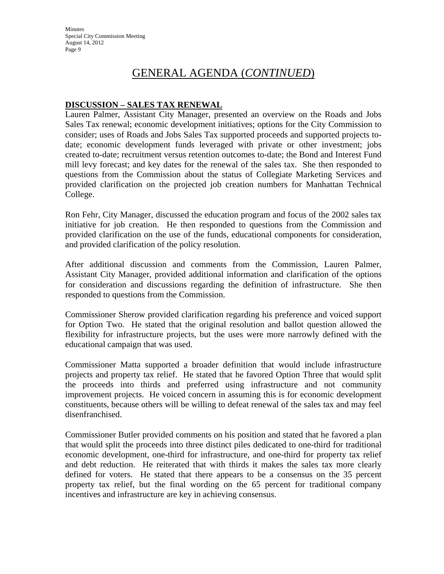**Minutes** Special City Commission Meeting August 14, 2012 Page 9

### GENERAL AGENDA (*CONTINUED*)

#### **DISCUSSION – SALES TAX RENEWAL**

Lauren Palmer, Assistant City Manager, presented an overview on the Roads and Jobs Sales Tax renewal; economic development initiatives; options for the City Commission to consider; uses of Roads and Jobs Sales Tax supported proceeds and supported projects todate; economic development funds leveraged with private or other investment; jobs created to-date; recruitment versus retention outcomes to-date; the Bond and Interest Fund mill levy forecast; and key dates for the renewal of the sales tax. She then responded to questions from the Commission about the status of Collegiate Marketing Services and provided clarification on the projected job creation numbers for Manhattan Technical College.

Ron Fehr, City Manager, discussed the education program and focus of the 2002 sales tax initiative for job creation. He then responded to questions from the Commission and provided clarification on the use of the funds, educational components for consideration, and provided clarification of the policy resolution.

After additional discussion and comments from the Commission, Lauren Palmer, Assistant City Manager, provided additional information and clarification of the options for consideration and discussions regarding the definition of infrastructure. She then responded to questions from the Commission.

Commissioner Sherow provided clarification regarding his preference and voiced support for Option Two. He stated that the original resolution and ballot question allowed the flexibility for infrastructure projects, but the uses were more narrowly defined with the educational campaign that was used.

Commissioner Matta supported a broader definition that would include infrastructure projects and property tax relief. He stated that he favored Option Three that would split the proceeds into thirds and preferred using infrastructure and not community improvement projects. He voiced concern in assuming this is for economic development constituents, because others will be willing to defeat renewal of the sales tax and may feel disenfranchised.

Commissioner Butler provided comments on his position and stated that he favored a plan that would split the proceeds into three distinct piles dedicated to one-third for traditional economic development, one-third for infrastructure, and one-third for property tax relief and debt reduction. He reiterated that with thirds it makes the sales tax more clearly defined for voters. He stated that there appears to be a consensus on the 35 percent property tax relief, but the final wording on the 65 percent for traditional company incentives and infrastructure are key in achieving consensus.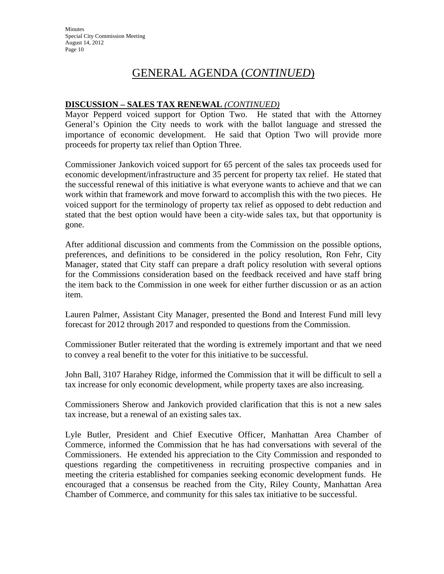#### **DISCUSSION – SALES TAX RENEWAL** *(CONTINUED)*

Mayor Pepperd voiced support for Option Two. He stated that with the Attorney General's Opinion the City needs to work with the ballot language and stressed the importance of economic development. He said that Option Two will provide more proceeds for property tax relief than Option Three.

Commissioner Jankovich voiced support for 65 percent of the sales tax proceeds used for economic development/infrastructure and 35 percent for property tax relief. He stated that the successful renewal of this initiative is what everyone wants to achieve and that we can work within that framework and move forward to accomplish this with the two pieces. He voiced support for the terminology of property tax relief as opposed to debt reduction and stated that the best option would have been a city-wide sales tax, but that opportunity is gone.

After additional discussion and comments from the Commission on the possible options, preferences, and definitions to be considered in the policy resolution, Ron Fehr, City Manager, stated that City staff can prepare a draft policy resolution with several options for the Commissions consideration based on the feedback received and have staff bring the item back to the Commission in one week for either further discussion or as an action item.

Lauren Palmer, Assistant City Manager, presented the Bond and Interest Fund mill levy forecast for 2012 through 2017 and responded to questions from the Commission.

Commissioner Butler reiterated that the wording is extremely important and that we need to convey a real benefit to the voter for this initiative to be successful.

John Ball, 3107 Harahey Ridge, informed the Commission that it will be difficult to sell a tax increase for only economic development, while property taxes are also increasing.

Commissioners Sherow and Jankovich provided clarification that this is not a new sales tax increase, but a renewal of an existing sales tax.

Lyle Butler, President and Chief Executive Officer, Manhattan Area Chamber of Commerce, informed the Commission that he has had conversations with several of the Commissioners. He extended his appreciation to the City Commission and responded to questions regarding the competitiveness in recruiting prospective companies and in meeting the criteria established for companies seeking economic development funds. He encouraged that a consensus be reached from the City, Riley County, Manhattan Area Chamber of Commerce, and community for this sales tax initiative to be successful.